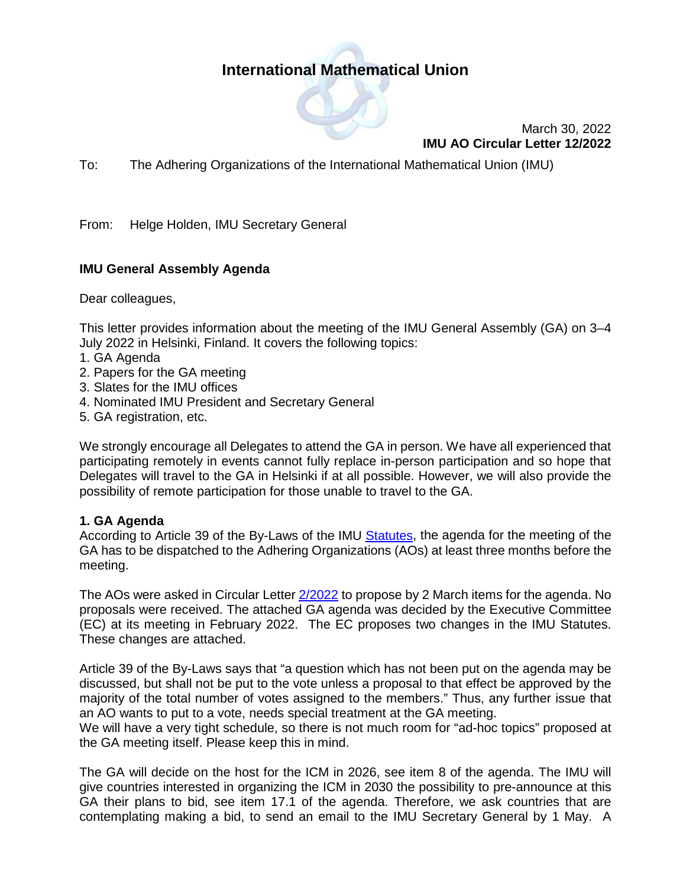# **International Mathematical Union**



March 30, 2022 **IMU AO Circular Letter 12/2022**

To: The Adhering Organizations of the International Mathematical Union (IMU)

From: Helge Holden, IMU Secretary General

# **IMU General Assembly Agenda**

Dear colleagues,

This letter provides information about the meeting of the IMU General Assembly (GA) on 3–4 July 2022 in Helsinki, Finland. It covers the following topics:

- 1. GA Agenda
- 2. Papers for the GA meeting
- 3. Slates for the IMU offices
- 4. Nominated IMU President and Secretary General
- 5. GA registration, etc.

We strongly encourage all Delegates to attend the GA in person. We have all experienced that participating remotely in events cannot fully replace in-person participation and so hope that Delegates will travel to the GA in Helsinki if at all possible. However, we will also provide the possibility of remote participation for those unable to travel to the GA.

#### **1. GA Agenda**

According to Article 39 of the By-Laws of the IMU [Statutes,](https://www.mathunion.org/organization/statutes) the agenda for the meeting of the GA has to be dispatched to the Adhering Organizations (AOs) at least three months before the meeting.

The AOs were asked in Circular Letter [2/2022](https://www.mathunion.org/fileadmin/IMU/Publications/CircularLetters/2022/IMU%20AO%20CL%202_2022.pdf) to propose by 2 March items for the agenda. No proposals were received. The attached GA agenda was decided by the Executive Committee (EC) at its meeting in February 2022. The EC proposes two changes in the IMU Statutes. These changes are attached.

Article 39 of the By-Laws says that "a question which has not been put on the agenda may be discussed, but shall not be put to the vote unless a proposal to that effect be approved by the majority of the total number of votes assigned to the members." Thus, any further issue that an AO wants to put to a vote, needs special treatment at the GA meeting.

We will have a very tight schedule, so there is not much room for "ad-hoc topics" proposed at the GA meeting itself. Please keep this in mind.

The GA will decide on the host for the ICM in 2026, see item 8 of the agenda. The IMU will give countries interested in organizing the ICM in 2030 the possibility to pre-announce at this GA their plans to bid, see item 17.1 of the agenda. Therefore, we ask countries that are contemplating making a bid, to send an email to the IMU Secretary General by 1 May. A